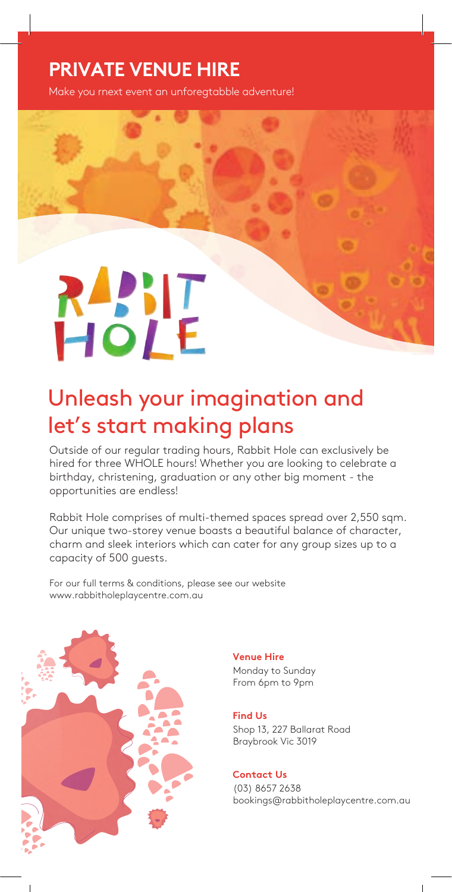### **PRIVATE VENUE HIRE**

Make you rnext event an unforegtabble adventure!

# **RANIT**<br>HOLE

## Unleash your imagination and let's start making plans

Outside of our regular trading hours, Rabbit Hole can exclusively be hired for three WHOLE hours! Whether you are looking to celebrate a birthday, christening, graduation or any other big moment - the opportunities are endless!

Rabbit Hole comprises of multi-themed spaces spread over 2,550 sqm. Our unique two-storey venue boasts a beautiful balance of character, charm and sleek interiors which can cater for any group sizes up to a capacity of 500 guests.

For our full terms & conditions, please see our website www.rabbitholeplaycentre.com.au



**Venue Hire**  Monday to Sunday From 6pm to 9pm

#### **Find Us**

**Mon - Fri** Braybrook Vic 3019 Shop 13, 227 Ballarat Road

#### **Contact Us**

(03) 8657 2638 bookings@rabbitholeplaycentre.com.au